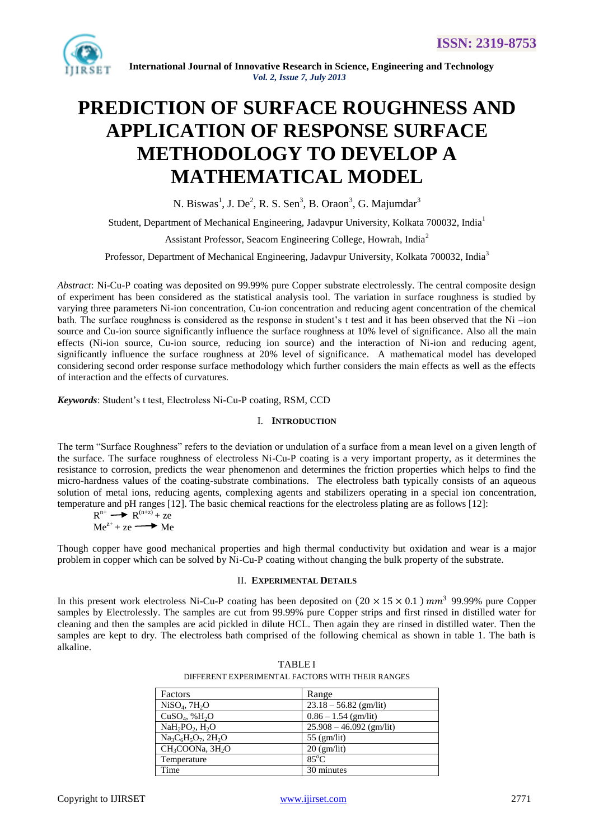

# **PREDICTION OF SURFACE ROUGHNESS AND APPLICATION OF RESPONSE SURFACE METHODOLOGY TO DEVELOP A MATHEMATICAL MODEL**

N. Biswas<sup>1</sup>, J. De<sup>2</sup>, R. S. Sen<sup>3</sup>, B. Oraon<sup>3</sup>, G. Majumdar<sup>3</sup>

Student, Department of Mechanical Engineering, Jadavpur University, Kolkata 700032, India<sup>1</sup>

Assistant Professor, Seacom Engineering College, Howrah, India<sup>2</sup>

Professor, Department of Mechanical Engineering, Jadavpur University, Kolkata 700032, India<sup>3</sup>

*Abstract*: Ni-Cu-P coating was deposited on 99.99% pure Copper substrate electrolessly. The central composite design of experiment has been considered as the statistical analysis tool. The variation in surface roughness is studied by varying three parameters Ni-ion concentration, Cu-ion concentration and reducing agent concentration of the chemical bath. The surface roughness is considered as the response in student's t test and it has been observed that the Ni –ion source and Cu-ion source significantly influence the surface roughness at 10% level of significance. Also all the main effects (Ni-ion source, Cu-ion source, reducing ion source) and the interaction of Ni-ion and reducing agent, significantly influence the surface roughness at 20% level of significance. A mathematical model has developed considering second order response surface methodology which further considers the main effects as well as the effects of interaction and the effects of curvatures.

*Keywords*: Student"s t test, Electroless Ni-Cu-P coating, RSM, CCD

# I. **INTRODUCTION**

The term "Surface Roughness" refers to the deviation or undulation of a surface from a mean level on a given length of the surface. The surface roughness of electroless Ni-Cu-P coating is a very important property, as it determines the resistance to corrosion, predicts the wear phenomenon and determines the friction properties which helps to find the micro-hardness values of the coating-substrate combinations. The electroless bath typically consists of an aqueous solution of metal ions, reducing agents, complexing agents and stabilizers operating in a special ion concentration, temperature and pH ranges [12]. The basic chemical reactions for the electroless plating are as follows [12]:

 $R^{n+} \longrightarrow R^{(n+z)} + ze$  $Me^{z+}$  + ze  $\longrightarrow$  Me

Though copper have good mechanical properties and high thermal conductivity but oxidation and wear is a major problem in copper which can be solved by Ni-Cu-P coating without changing the bulk property of the substrate.

# II. **EXPERIMENTAL DETAILS**

In this present work electroless Ni-Cu-P coating has been deposited on  $(20 \times 15 \times 0.1)$  mm<sup>3</sup> 99.99% pure Copper samples by Electrolessly. The samples are cut from 99.99% pure Copper strips and first rinsed in distilled water for cleaning and then the samples are acid pickled in dilute HCL. Then again they are rinsed in distilled water. Then the samples are kept to dry. The electroless bath comprised of the following chemical as shown in table 1. The bath is alkaline.

| Factors                                  | Range                      |
|------------------------------------------|----------------------------|
| NiSO <sub>4</sub> , 7H <sub>2</sub> O    | $23.18 - 56.82$ (gm/lit)   |
| CuSO <sub>4</sub> , %H <sub>2</sub> O    | $0.86 - 1.54$ (gm/lit)     |
| $NaH2PO2, H2O$                           | $25.908 - 46.092$ (gm/lit) |
| $Na_3C_6H_5O_7$ , 2H <sub>2</sub> O      | $55$ (gm/lit)              |
| CH <sub>3</sub> COONa, 3H <sub>2</sub> O | $20$ (gm/lit)              |
| Temperature                              | $85^{\circ}$ C             |
| Time                                     | 30 minutes                 |

TARI FI DIFFERENT EXPERIMENTAL FACTORS WITH THEIR RANGES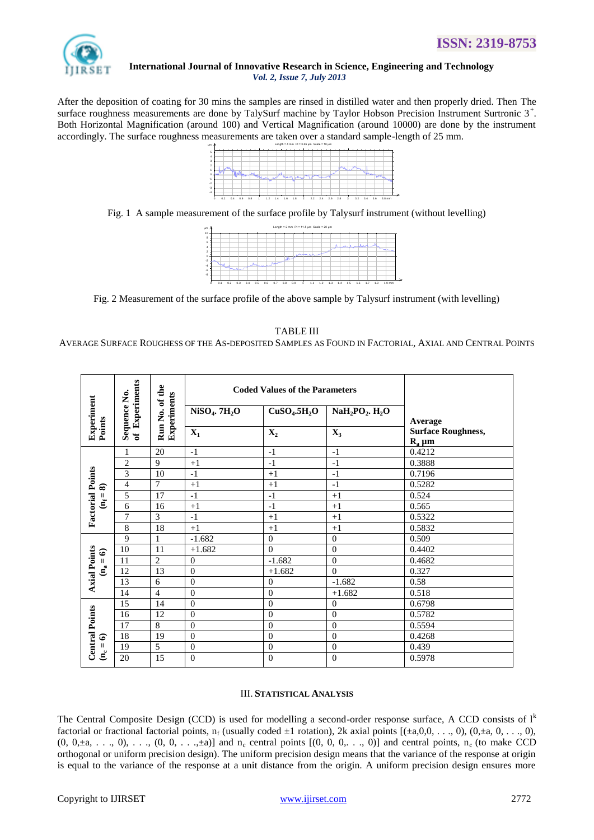

After the deposition of coating for 30 mins the samples are rinsed in distilled water and then properly dried. Then The surface roughness measurements are done by TalySurf machine by Taylor Hobson Precision Instrument Surtronic  $3^+$ . Both Horizontal Magnification (around 100) and Vertical Magnification (around 10000) are done by the instrument accordingly. The surface roughness measurements are taken over a standard sample-length of 25 mm.



Fig. 1 A sample measurement of the surface profile by Talysurf instrument (without levelling)



Fig. 2 Measurement of the surface profile of the above sample by Talysurf instrument (with levelling)

### TABLE III

AVERAGE SURFACE ROUGHESS OF THE AS-DEPOSITED SAMPLES AS FOUND IN FACTORIAL, AXIAL AND CENTRAL POINTS

| Experiments<br>Run No. of the<br>Sequence No.<br>Experiment |                  |                | <b>Coded Values of the Parameters</b> |                                      |                   |                                          |
|-------------------------------------------------------------|------------------|----------------|---------------------------------------|--------------------------------------|-------------------|------------------------------------------|
|                                                             |                  |                | $NiSO4$ . $7H2O$                      | CuSO <sub>4</sub> .5H <sub>2</sub> O | $NaH2PO2$ . $H2O$ | Average                                  |
| Points                                                      | $\tilde{\sigma}$ | Experiments    | $X_1$                                 | $X_2$                                | $X_3$             | <b>Surface Roughness,</b><br>$R_a \mu m$ |
|                                                             | 1                | 20             | $-1$                                  | $-1$                                 | $-1$              | 0.4212                                   |
|                                                             | $\mathbf{2}$     | 9              | $+1$                                  | $-1$                                 | $-1$              | 0.3888                                   |
| <b>Factorial Points</b>                                     | 3                | 10             | $-1$                                  | $+1$                                 | $-1$              | 0.7196                                   |
| ଛ                                                           | $\overline{4}$   | $\overline{7}$ | $+1$                                  | $+1$                                 | $-1$              | 0.5282                                   |
| $(n_f =$                                                    | 5                | 17             | $-1$                                  | $-1$                                 | $+1$              | 0.524                                    |
|                                                             | 6                | 16             | $+1$                                  | $-1$                                 | $+1$              | 0.565                                    |
|                                                             | $\overline{7}$   | 3              | $-1$                                  | $+1$                                 | $+1$              | 0.5322                                   |
|                                                             | 8                | 18             | $+1$                                  | $+1$                                 | $+1$              | 0.5832                                   |
|                                                             | 9                | $\mathbf{1}$   | $-1.682$                              | $\mathbf{0}$                         | $\overline{0}$    | 0.509                                    |
| ତ                                                           | 10               | 11             | $+1.682$                              | $\Omega$                             | $\Omega$          | 0.4402                                   |
| $\mathbf{H}$                                                | 11               | $\overline{2}$ | $\theta$                              | $-1.682$                             | $\theta$          | 0.4682                                   |
| $\mathbf{a}$                                                | 12               | 13             | $\Omega$                              | $+1.682$                             | $\theta$          | 0.327                                    |
| <b>Axial Points</b>                                         | 13               | 6              | $\theta$                              | $\overline{0}$                       | $-1.682$          | 0.58                                     |
|                                                             | 14               | $\overline{4}$ | $\theta$                              | $\theta$                             | $+1.682$          | 0.518                                    |
|                                                             | 15               | 14             | $\theta$                              | $\theta$                             | $\mathbf{0}$      | 0.6798                                   |
| Points                                                      | 16               | 12             | $\theta$                              | $\theta$                             | $\boldsymbol{0}$  | 0.5782                                   |
|                                                             | 17               | 8              | $\theta$                              | $\theta$                             | $\theta$          | 0.5594                                   |
| Central<br>ଚ                                                | 18               | 19             | $\Omega$                              | $\Omega$                             | $\theta$          | 0.4268                                   |
| Ш                                                           | 19               | 5              | $\overline{0}$                        | $\overline{0}$                       | $\overline{0}$    | 0.439                                    |
| $\mathbf{g}$                                                | 20               | 15             | $\theta$                              | $\theta$                             | $\theta$          | 0.5978                                   |

# III. **STATISTICAL ANALYSIS**

The Central Composite Design (CCD) is used for modelling a second-order response surface. A CCD consists of  $I^k$ factorial or fractional factorial points,  $n_f$  (usually coded  $\pm 1$  rotation), 2k axial points  $[(\pm a, 0, 0, \ldots, 0), (0, \pm a, 0, \ldots, 0),$  $(0, 0, \pm a, \ldots, 0), \ldots, (0, 0, \ldots, \pm a)$ ] and  $n_c$  central points  $[(0, 0, 0, \ldots, 0)]$  and central points,  $n_c$  (to make CCD orthogonal or uniform precision design). The uniform precision design means that the variance of the response at origin is equal to the variance of the response at a unit distance from the origin. A uniform precision design ensures more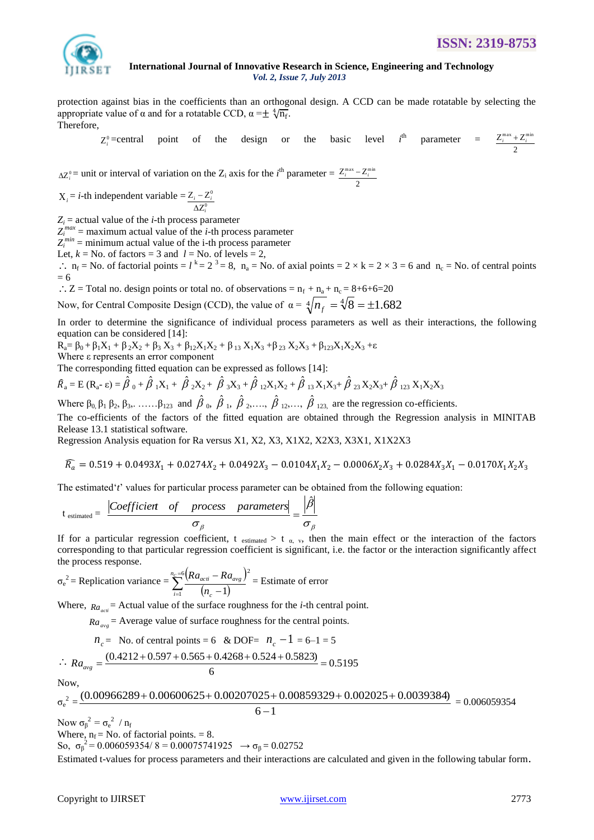2



# **International Journal of Innovative Research in Science, Engineering and Technology** *Vol. 2, Issue 7, July 2013*

protection against bias in the coefficients than an orthogonal design. A CCD can be made rotatable by selecting the appropriate value of  $\alpha$  and for a rotatable CCD,  $\alpha = \pm \sqrt[4]{n_f}$ . Therefore,

 $Z^0$  = central point of the design or the basic level  $i<sup>th</sup>$  $parameter =$  $Z_i^{\max} + Z_i^{\min}$ 

 $\Delta Z_i^0$  = unit or interval of variation on the  $Z_i$  axis for the *i*<sup>th</sup> parameter = 2  $Z_i^{\max} - Z_i^{\min}$ 

 $X_i = i$ -th independent variable =  $\frac{Z_i - Z_i}{\Delta Z^0}$ 0  $\frac{i}{\Delta Z_i^0}$  $Z_i - Z_i^0$ 

*i*  $Z_i$  = actual value of the *i*-th process parameter

 $Z_i^{max}$  = maximum actual value of the *i*-th process parameter

 $Z_i^{min}$  = minimum actual value of the i-th process parameter

Let,  $k = No$ . of factors = 3 and  $l = No$ . of levels = 2,

 $\therefore$   $n_f$  = No. of factorial points =  $l^k$  = 2<sup>3</sup> = 8,  $n_a$  = No. of axial points = 2 × k = 2 × 3 = 6 and  $n_c$  = No. of central points  $= 6$ 

 $\therefore$  Z = Total no. design points or total no. of observations =  $n_f + n_a + n_c = 8 + 6 + 6 = 20$ 

Now, for Central Composite Design (CCD), the value of  $\alpha = \sqrt[4]{n_f} = \sqrt[4]{8} = \pm 1.682$ 

In order to determine the significance of individual process parameters as well as their interactions, the following equation can be considered [14]:

 $R_3 = \beta_0 + \beta_1 X_1 + \beta_2 X_2 + \beta_3 X_3 + \beta_{12} X_1 X_2 + \beta_{13} X_1 X_3 + \beta_{23} X_2 X_3 + \beta_{123} X_1 X_2 X_3 + \epsilon$ Where ε represents an error component

The corresponding fitted equation can be expressed as follows [14]:

$$
\hat{R}_a = E (R_a - \varepsilon) = \hat{\beta}_0 + \hat{\beta}_1 X_1 + \hat{\beta}_2 X_2 + \hat{\beta}_3 X_3 + \hat{\beta}_1 2 X_1 X_2 + \hat{\beta}_3 X_1 X_3 + \hat{\beta}_2 2 X_2 X_3 + \hat{\beta}_3 2 X_1 X_2 X_3
$$

Where  $\beta_0$ ,  $\beta_1$ ,  $\beta_2$ ,  $\beta_3$ ,...,  $\beta_{123}$  and  $\hat{\beta}_0$ ,  $\hat{\beta}_1$ ,  $\hat{\beta}_2$ ,...,  $\hat{\beta}_1$ ,  $\hat{\beta}_2$ ,...,  $\hat{\beta}_1$  are the regression co-efficients.

The co-efficients of the factors of the fitted equation are obtained through the Regression analysis in MINITAB Release 13.1 statistical software.

Regression Analysis equation for Ra versus X1, X2, X3, X1X2, X2X3, X3X1, X1X2X3

$$
\widehat{R_a} = 0.519 + 0.0493X_1 + 0.0274X_2 + 0.0492X_3 - 0.0104X_1X_2 - 0.0006X_2X_3 + 0.0284X_3X_1 - 0.0170X_1X_2X_3
$$

The estimated"*t*" values for particular process parameter can be obtained from the following equation:

$$
t_{\text{estimated}} = \frac{|Coefficient \text{ of process parameters}|}{\sigma_{\beta}} = \frac{|\hat{\beta}|}{\sigma_{\beta}}
$$

If for a particular regression coefficient, t estimated  $> t_{\alpha}$ , v, then the main effect or the interaction of the factors corresponding to that particular regression coefficient is significant, i.e. the factor or the interaction significantly affect the process response.

 $\sigma_e^2$  = Replication variance =  $\sum_{i=1}^{n_c=6} \frac{(Ra_{act} - Ra_{avg})^2}{(n_c - 1)^2}$  $\sum_{=1}^{\infty}$   $(n_c \int_{0}^{6} (Ra_{act} -$ 1 2 1 *nC*  $i=1$   $\left\{ \mathbf{u}_c \right\}$  $a_{\text{crit}} - \mathbf{M} u_{\text{avg}}$ *n*  $\frac{Ra_{act} - Ra_{avg}}{R} =$  Estimate of error

Where,  $R_{a_{\text{act}}}$  = Actual value of the surface roughness for the *i*-th central point.

 $Ra_{avg}$  = Average value of surface roughness for the central points.

$$
n_c
$$
 = No. of central points = 6 & DOF=  $n_c$  − 1 = 6−1 = 5  
\n
$$
\therefore Ra_{avg} = \frac{(0.4212 + 0.597 + 0.565 + 0.4268 + 0.524 + 0.5823)}{6} = 0.5195
$$

Now,

$$
\sigma_e^2 = \frac{(0.00966289 + 0.00600625 + 0.00207025 + 0.00859329 + 0.002025 + 0.0039384)}{6 - 1} = 0.006059354
$$

Now  $\sigma_{\beta}^2 = \sigma_{\rm e}^2 / n_{\rm f}$ 

Where,  $n_f$  = No. of factorial points. = 8.

So, 
$$
\sigma_{\beta}^2 = 0.006059354 / 8 = 0.00075741925 \rightarrow \sigma_{\beta} = 0.02752
$$

Estimated t-values for process parameters and their interactions are calculated and given in the following tabular form.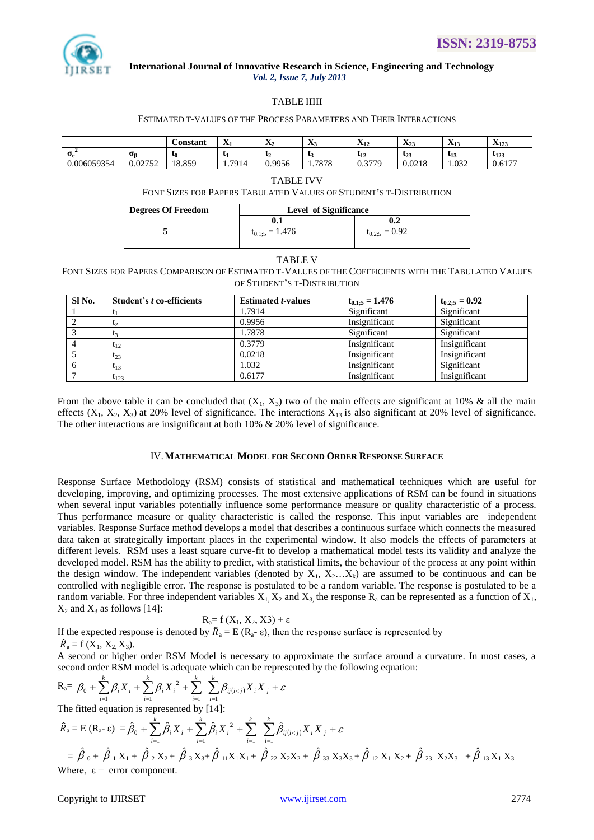

# TABLE IIIII

#### ESTIMATED T-VALUES OF THE PROCESS PARAMETERS AND THEIR INTERACTIONS

|             |                    | <b>Constant</b> | $-$<br>$\mathbf{A}$ | $ -$<br>$\Lambda$ | $\sqrt{2}$          | $- -$<br>$\mathbf{A}_{12}$            | $- -$<br>$\sim$<br>-4339<br>-41 | $- -$<br>$\mathbf{A}_{13}$ | $\mathbf{v}$<br>$\mathbf{A}_{123}$ |
|-------------|--------------------|-----------------|---------------------|-------------------|---------------------|---------------------------------------|---------------------------------|----------------------------|------------------------------------|
| <b>υ</b> .  | σe                 |                 |                     |                   |                     | $L_{12}$                              | L2<br>- - - -                   | L <sub>13</sub>            | $L_{123}$                          |
| 0.006059354 | 0.02752<br>0.02132 | 18.859          | .7914<br>.          | 0.9956            | 7070<br>. . / 0 / 0 | 3770<br>$\mathsf{U} \cdot \mathsf{U}$ | 0.0218                          | .032<br>1.034              | $-1$<br>$0.61^{\circ}$             |

### TABLE IVV

FONT SIZES FOR PAPERS TABULATED VALUES OF STUDENT"S T-DISTRIBUTION

| <b>Degrees Of Freedom</b> | <b>Level of Significance</b> |                    |  |  |  |
|---------------------------|------------------------------|--------------------|--|--|--|
|                           | 0.1                          | $0.2\,$            |  |  |  |
|                           | $t_{0.1:5} = 1.476$          | $t_{0.2:5} = 0.92$ |  |  |  |

#### TABLE V

FONT SIZES FOR PAPERS COMPARISON OF ESTIMATED T-VALUES OF THE COEFFICIENTS WITH THE TABULATED VALUES OF STUDENT"S T-DISTRIBUTION

| SI <sub>No.</sub> | Student's t co-efficients | <b>Estimated t-values</b> | $t_{0.1:5} = 1.476$ | $t_{0.2:5} = 0.92$ |
|-------------------|---------------------------|---------------------------|---------------------|--------------------|
|                   |                           | 1.7914                    | Significant         | Significant        |
|                   |                           | 0.9956                    | Insignificant       | Significant        |
|                   |                           | 1.7878                    | Significant         | Significant        |
|                   | $t_{12}$                  | 0.3779                    | Insignificant       | Insignificant      |
|                   | $t_{23}$                  | 0.0218                    | Insignificant       | Insignificant      |
|                   | $t_{13}$                  | 1.032                     | Insignificant       | Significant        |
|                   | $t_{123}$                 | 0.6177                    | Insignificant       | Insignificant      |

From the above table it can be concluded that  $(X_1, X_3)$  two of the main effects are significant at 10% & all the main effects  $(X_1, X_2, X_3)$  at 20% level of significance. The interactions  $X_{13}$  is also significant at 20% level of significance. The other interactions are insignificant at both 10% & 20% level of significance.

#### IV.**MATHEMATICAL MODEL FOR SECOND ORDER RESPONSE SURFACE**

Response Surface Methodology (RSM) consists of statistical and mathematical techniques which are useful for developing, improving, and optimizing processes. The most extensive applications of RSM can be found in situations when several input variables potentially influence some performance measure or quality characteristic of a process. Thus performance measure or quality characteristic is called the response. This input variables are independent variables. Response Surface method develops a model that describes a continuous surface which connects the measured data taken at strategically important places in the experimental window. It also models the effects of parameters at different levels. RSM uses a least square curve-fit to develop a mathematical model tests its validity and analyze the developed model. RSM has the ability to predict, with statistical limits, the behaviour of the process at any point within the design window. The independent variables (denoted by  $X_1, X_2, \ldots, X_k$ ) are assumed to be continuous and can be controlled with negligible error. The response is postulated to be a random variable. The response is postulated to be a random variable. For three independent variables  $X_1, X_2$  and  $X_3$  the response  $R_a$  can be represented as a function of  $X_1$ ,  $X_2$  and  $X_3$  as follows [14]:

$$
R_a = f(X_1, X_2, X3) + \varepsilon
$$

If the expected response is denoted by  $\hat{R}_a = E (R_a - \varepsilon)$ , then the response surface is represented by  $\hat{R}_a$  = f (X<sub>1</sub>, X<sub>2</sub>, X<sub>3</sub>).

A second or higher order RSM Model is necessary to approximate the surface around a curvature. In most cases, a second order RSM model is adequate which can be represented by the following equation:

$$
R_{a} = \beta_{0} + \sum_{i=1}^{k} \beta_{i} X_{i} + \sum_{i=1}^{k} \beta_{i} X_{i}^{2} + \sum_{i=1}^{k} \sum_{i=1}^{k} \beta_{ij(i
$$

The fitted equation is represented by [14]:

$$
\hat{R}_{a} = E (R_{a^{-}} \varepsilon) = \hat{\beta}_{0} + \sum_{i=1}^{k} \hat{\beta}_{i} X_{i} + \sum_{i=1}^{k} \hat{\beta}_{i} X_{i}^{2} + \sum_{i=1}^{k} \sum_{i=1}^{k} \hat{\beta}_{ij(i\n
$$
= \hat{\beta}_{0} + \hat{\beta}_{1} X_{1} + \hat{\beta}_{2} X_{2} + \hat{\beta}_{3} X_{3} + \hat{\beta}_{11} X_{1} X_{1} + \hat{\beta}_{22} X_{2} X_{2} + \hat{\beta}_{33} X_{3} X_{3} + \hat{\beta}_{12} X_{1} X_{2} + \hat{\beta}_{23} X_{2} X_{3} + \hat{\beta}_{13} X_{1} X_{3}
$$
\nWhere,  $\varepsilon$  = error component.
$$

Where,  $\varepsilon$  = error component.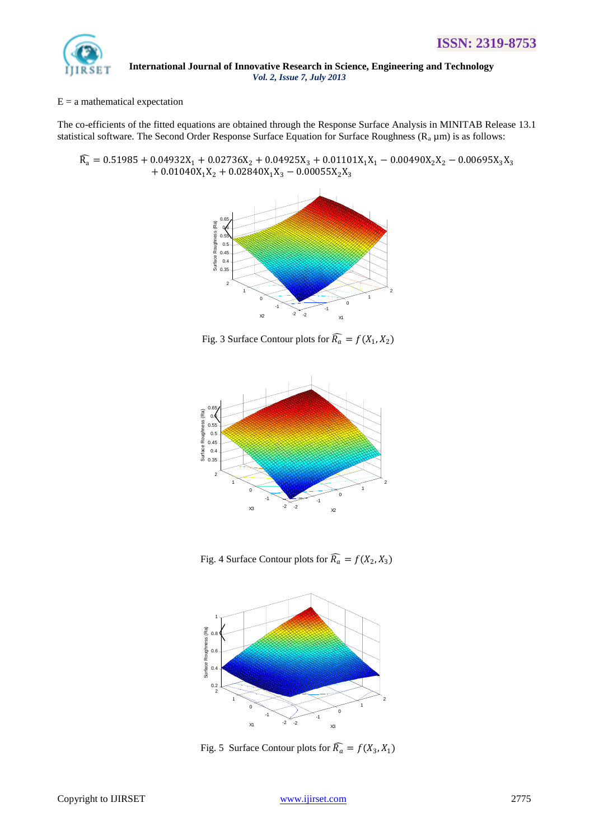

# $E = a$  mathematical expectation

The co-efficients of the fitted equations are obtained through the Response Surface Analysis in MINITAB Release 13.1 statistical software. The Second Order Response Surface Equation for Surface Roughness ( $R_a \mu m$ ) is as follows:

 $\widehat{R_a} = 0.51985 + 0.04932X_1 + 0.02736X_2 + 0.04925X_3 + 0.01101X_1X_1 - 0.00490X_2X_2 - 0.00695X_3X_3$ +  $0.01040X_1X_2 + 0.02840X_1X_3 - 0.00055X_2X_3$ 



Fig. 3 Surface Contour plots for  $\widehat{R_a} = f(X_1, X_2)$ 



Fig. 4 Surface Contour plots for  $\widehat{R_a} = f(X_2, X_3)$ 



Fig. 5 Surface Contour plots for  $\widehat{R_a} = f(X_3, X_1)$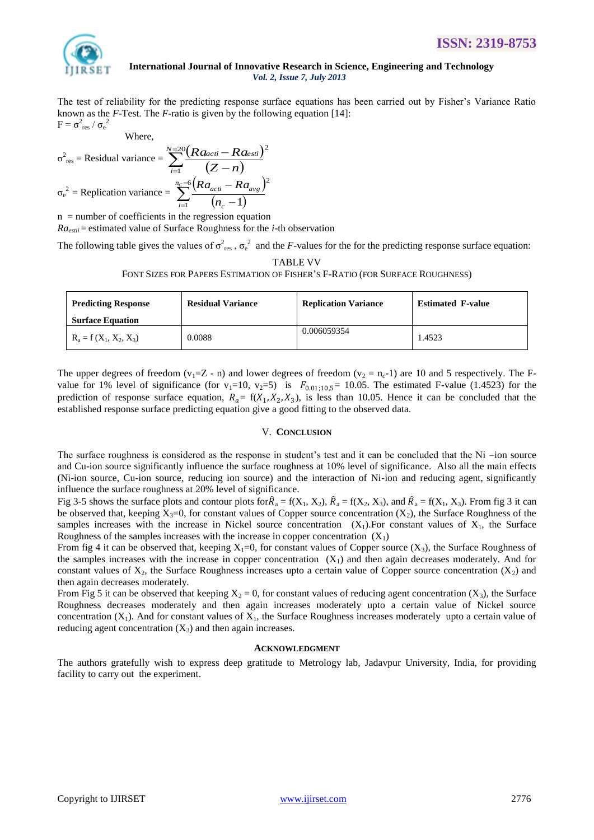

The test of reliability for the predicting response surface equations has been carried out by Fisher's Variance Ratio known as the *F*-Test. The *F*-ratio is given by the following equation [14]:  $F = \sigma_{res}^2 / \sigma_e^2$ 

$$
Where,
$$

$$
\sigma_{res}^2 = \text{Residual variance} = \sum_{i=1}^{N=20} \frac{(Ra_{act} - Ra_{esti})^2}{(Z - n)}
$$

$$
\sigma_e^2 = \text{Replication variance} = \sum_{i=1}^{n_c=6} \frac{(Ra_{act} - Ra_{avg})^2}{(n_c - 1)}
$$

 $n =$  number of coefficients in the regression equation

 $Ra_{estii}$  = estimated value of Surface Roughness for the *i*-th observation

The following table gives the values of  $\sigma_{res}^2$ ,  $\sigma_e^2$  and the *F*-values for the for the predicting response surface equation:

TABLE VV

FONT SIZES FOR PAPERS ESTIMATION OF FISHER"S F-RATIO (FOR SURFACE ROUGHNESS)

| <b>Predicting Response</b><br><b>Surface Equation</b> | <b>Residual Variance</b> | <b>Replication Variance</b> | <b>Estimated F-value</b> |
|-------------------------------------------------------|--------------------------|-----------------------------|--------------------------|
| $R_a = f(X_1, X_2, X_3)$                              | 0.0088                   | 0.006059354                 | 1.4523                   |

The upper degrees of freedom (v<sub>1</sub>=Z - n) and lower degrees of freedom (v<sub>2</sub> = n<sub>c</sub>-1) are 10 and 5 respectively. The Fvalue for 1% level of significance (for v<sub>1</sub>=10, v<sub>2</sub>=5) is  $F_{0.01;10,5}$ = 10.05. The estimated F-value (1.4523) for the prediction of response surface equation,  $R_a = f(X_1, X_2, X_3)$ , is less than 10.05. Hence it can be concluded that the established response surface predicting equation give a good fitting to the observed data.

# V. **CONCLUSION**

The surface roughness is considered as the response in student's test and it can be concluded that the Ni –ion source and Cu-ion source significantly influence the surface roughness at 10% level of significance. Also all the main effects (Ni-ion source, Cu-ion source, reducing ion source) and the interaction of Ni-ion and reducing agent, significantly influence the surface roughness at 20% level of significance.

Fig 3-5 shows the surface plots and contour plots for  $\hat{R}_a = f(X_1, X_2)$ ,  $\hat{R}_a = f(X_2, X_3)$ , and  $\hat{R}_a = f(X_1, X_3)$ . From fig 3 it can be observed that, keeping  $X_3=0$ , for constant values of Copper source concentration  $(X_2)$ , the Surface Roughness of the samples increases with the increase in Nickel source concentration  $(X_1)$ . For constant values of  $X_1$ , the Surface Roughness of the samples increases with the increase in copper concentration  $(X_1)$ 

From fig 4 it can be observed that, keeping  $X_1=0$ , for constant values of Copper source  $(X_3)$ , the Surface Roughness of the samples increases with the increase in copper concentration  $(X_1)$  and then again decreases moderately. And for constant values of  $X_2$ , the Surface Roughness increases upto a certain value of Copper source concentration  $(X_2)$  and then again decreases moderately.

From Fig 5 it can be observed that keeping  $X_2 = 0$ , for constant values of reducing agent concentration  $(X_3)$ , the Surface Roughness decreases moderately and then again increases moderately upto a certain value of Nickel source concentration  $(X_1)$ . And for constant values of  $X_1$ , the Surface Roughness increases moderately upto a certain value of reducing agent concentration  $(X_3)$  and then again increases.

# **ACKNOWLEDGMENT**

The authors gratefully wish to express deep gratitude to Metrology lab, Jadavpur University, India, for providing facility to carry out the experiment.